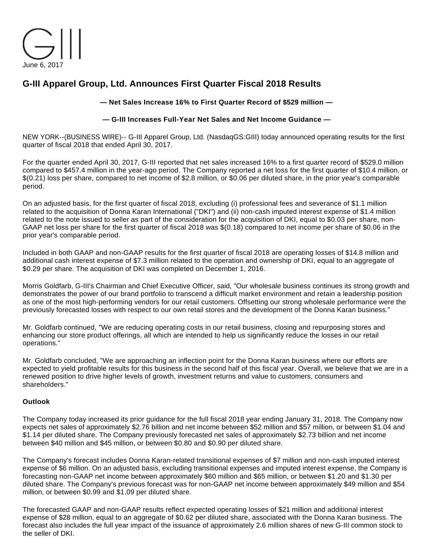

# **G-III Apparel Group, Ltd. Announces First Quarter Fiscal 2018 Results**

### **— Net Sales Increase 16% to First Quarter Record of \$529 million —**

### **— G-III Increases Full-Year Net Sales and Net Income Guidance —**

NEW YORK--(BUSINESS WIRE)-- G-III Apparel Group, Ltd. (NasdaqGS:GIII) today announced operating results for the first quarter of fiscal 2018 that ended April 30, 2017.

For the quarter ended April 30, 2017, G-III reported that net sales increased 16% to a first quarter record of \$529.0 million compared to \$457.4 million in the year-ago period. The Company reported a net loss for the first quarter of \$10.4 million, or \$(0.21) loss per share, compared to net income of \$2.8 million, or \$0.06 per diluted share, in the prior year's comparable period.

On an adjusted basis, for the first quarter of fiscal 2018, excluding (i) professional fees and severance of \$1.1 million related to the acquisition of Donna Karan International ("DKI") and (ii) non-cash imputed interest expense of \$1.4 million related to the note issued to seller as part of the consideration for the acquisition of DKI, equal to \$0.03 per share, non-GAAP net loss per share for the first quarter of fiscal 2018 was \$(0.18) compared to net income per share of \$0.06 in the prior year's comparable period.

Included in both GAAP and non-GAAP results for the first quarter of fiscal 2018 are operating losses of \$14.8 million and additional cash interest expense of \$7.3 million related to the operation and ownership of DKI, equal to an aggregate of \$0.29 per share. The acquisition of DKI was completed on December 1, 2016.

Morris Goldfarb, G-III's Chairman and Chief Executive Officer, said, "Our wholesale business continues its strong growth and demonstrates the power of our brand portfolio to transcend a difficult market environment and retain a leadership position as one of the most high-performing vendors for our retail customers. Offsetting our strong wholesale performance were the previously forecasted losses with respect to our own retail stores and the development of the Donna Karan business."

Mr. Goldfarb continued, "We are reducing operating costs in our retail business, closing and repurposing stores and enhancing our store product offerings, all which are intended to help us significantly reduce the losses in our retail operations."

Mr. Goldfarb concluded, "We are approaching an inflection point for the Donna Karan business where our efforts are expected to yield profitable results for this business in the second half of this fiscal year. Overall, we believe that we are in a renewed position to drive higher levels of growth, investment returns and value to customers, consumers and shareholders."

#### **Outlook**

The Company today increased its prior guidance for the full fiscal 2018 year ending January 31, 2018. The Company now expects net sales of approximately \$2.76 billion and net income between \$52 million and \$57 million, or between \$1.04 and \$1.14 per diluted share. The Company previously forecasted net sales of approximately \$2.73 billion and net income between \$40 million and \$45 million, or between \$0.80 and \$0.90 per diluted share.

The Company's forecast includes Donna Karan-related transitional expenses of \$7 million and non-cash imputed interest expense of \$6 million. On an adjusted basis, excluding transitional expenses and imputed interest expense, the Company is forecasting non-GAAP net income between approximately \$60 million and \$65 million, or between \$1.20 and \$1.30 per diluted share. The Company's previous forecast was for non-GAAP net income between approximately \$49 million and \$54 million, or between \$0.99 and \$1.09 per diluted share.

The forecasted GAAP and non-GAAP results reflect expected operating losses of \$21 million and additional interest expense of \$28 million, equal to an aggregate of \$0.62 per diluted share, associated with the Donna Karan business. The forecast also includes the full year impact of the issuance of approximately 2.6 million shares of new G-III common stock to the seller of DKI.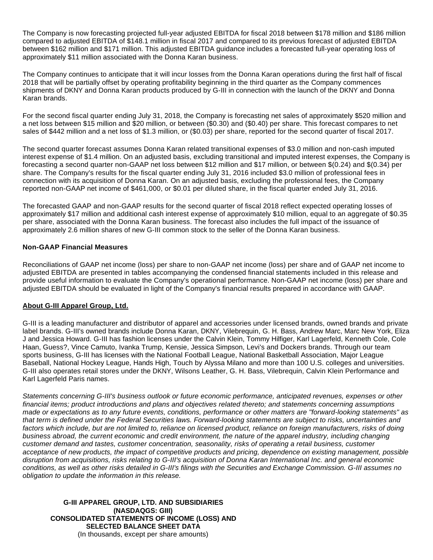The Company is now forecasting projected full-year adjusted EBITDA for fiscal 2018 between \$178 million and \$186 million compared to adjusted EBITDA of \$148.1 million in fiscal 2017 and compared to its previous forecast of adjusted EBITDA between \$162 million and \$171 million. This adjusted EBITDA guidance includes a forecasted full-year operating loss of approximately \$11 million associated with the Donna Karan business.

The Company continues to anticipate that it will incur losses from the Donna Karan operations during the first half of fiscal 2018 that will be partially offset by operating profitability beginning in the third quarter as the Company commences shipments of DKNY and Donna Karan products produced by G-III in connection with the launch of the DKNY and Donna Karan brands.

For the second fiscal quarter ending July 31, 2018, the Company is forecasting net sales of approximately \$520 million and a net loss between \$15 million and \$20 million, or between (\$0.30) and (\$0.40) per share. This forecast compares to net sales of \$442 million and a net loss of \$1.3 million, or (\$0.03) per share, reported for the second quarter of fiscal 2017.

The second quarter forecast assumes Donna Karan related transitional expenses of \$3.0 million and non-cash imputed interest expense of \$1.4 million. On an adjusted basis, excluding transitional and imputed interest expenses, the Company is forecasting a second quarter non-GAAP net loss between \$12 million and \$17 million, or between \$(0.24) and \$(0.34) per share. The Company's results for the fiscal quarter ending July 31, 2016 included \$3.0 million of professional fees in connection with its acquisition of Donna Karan. On an adjusted basis, excluding the professional fees, the Company reported non-GAAP net income of \$461,000, or \$0.01 per diluted share, in the fiscal quarter ended July 31, 2016.

The forecasted GAAP and non-GAAP results for the second quarter of fiscal 2018 reflect expected operating losses of approximately \$17 million and additional cash interest expense of approximately \$10 million, equal to an aggregate of \$0.35 per share, associated with the Donna Karan business. The forecast also includes the full impact of the issuance of approximately 2.6 million shares of new G-III common stock to the seller of the Donna Karan business.

## **Non-GAAP Financial Measures**

Reconciliations of GAAP net income (loss) per share to non-GAAP net income (loss) per share and of GAAP net income to adjusted EBITDA are presented in tables accompanying the condensed financial statements included in this release and provide useful information to evaluate the Company's operational performance. Non-GAAP net income (loss) per share and adjusted EBITDA should be evaluated in light of the Company's financial results prepared in accordance with GAAP.

## **About G-III Apparel Group, Ltd.**

G-III is a leading manufacturer and distributor of apparel and accessories under licensed brands, owned brands and private label brands. G-III's owned brands include Donna Karan, DKNY, Vilebrequin, G. H. Bass, Andrew Marc, Marc New York, Eliza J and Jessica Howard. G-III has fashion licenses under the Calvin Klein, Tommy Hilfiger, Karl Lagerfeld, Kenneth Cole, Cole Haan, Guess?, Vince Camuto, Ivanka Trump, Kensie, Jessica Simpson, Levi's and Dockers brands. Through our team sports business, G-III has licenses with the National Football League, National Basketball Association, Major League Baseball, National Hockey League, Hands High, Touch by Alyssa Milano and more than 100 U.S. colleges and universities. G-III also operates retail stores under the DKNY, Wilsons Leather, G. H. Bass, Vilebrequin, Calvin Klein Performance and Karl Lagerfeld Paris names.

Statements concerning G-III's business outlook or future economic performance, anticipated revenues, expenses or other financial items; product introductions and plans and objectives related thereto; and statements concerning assumptions made or expectations as to any future events, conditions, performance or other matters are "forward-looking statements" as that term is defined under the Federal Securities laws. Forward-looking statements are subject to risks, uncertainties and factors which include, but are not limited to, reliance on licensed product, reliance on foreign manufacturers, risks of doing business abroad, the current economic and credit environment, the nature of the apparel industry, including changing customer demand and tastes, customer concentration, seasonality, risks of operating a retail business, customer acceptance of new products, the impact of competitive products and pricing, dependence on existing management, possible disruption from acquisitions, risks relating to G-III's acquisition of Donna Karan International Inc. and general economic conditions, as well as other risks detailed in G-III's filings with the Securities and Exchange Commission. G-III assumes no obligation to update the information in this release.

**G-III APPAREL GROUP, LTD. AND SUBSIDIARIES (NASDAQGS: GIII) CONSOLIDATED STATEMENTS OF INCOME (LOSS) AND SELECTED BALANCE SHEET DATA** (In thousands, except per share amounts)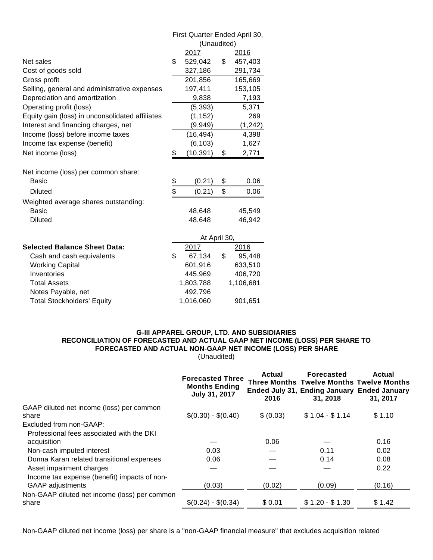|                                                 | <b>First Quarter Ended April 30.</b> |              |    |           |
|-------------------------------------------------|--------------------------------------|--------------|----|-----------|
|                                                 | (Unaudited)                          |              |    |           |
|                                                 |                                      | 2017         |    | 2016      |
| Net sales                                       | \$                                   | 529,042      | \$ | 457,403   |
| Cost of goods sold                              |                                      | 327,186      |    | 291,734   |
| Gross profit                                    |                                      | 201,856      |    | 165,669   |
| Selling, general and administrative expenses    |                                      | 197,411      |    | 153,105   |
| Depreciation and amortization                   |                                      | 9,838        |    | 7,193     |
| Operating profit (loss)                         |                                      | (5, 393)     |    | 5,371     |
| Equity gain (loss) in unconsolidated affiliates |                                      | (1, 152)     |    | 269       |
| Interest and financing charges, net             |                                      | (9,949)      |    | (1, 242)  |
| Income (loss) before income taxes               |                                      | (16, 494)    |    | 4,398     |
| Income tax expense (benefit)                    |                                      | (6, 103)     |    | 1,627     |
| Net income (loss)                               | \$                                   | (10, 391)    | \$ | 2,771     |
|                                                 |                                      |              |    |           |
| Net income (loss) per common share:             |                                      |              |    |           |
| Basic                                           |                                      | (0.21)       | \$ | 0.06      |
| <b>Diluted</b>                                  | \$<br>\$                             | (0.21)       | \$ | 0.06      |
| Weighted average shares outstanding:            |                                      |              |    |           |
| <b>Basic</b>                                    |                                      | 48,648       |    | 45,549    |
| <b>Diluted</b>                                  |                                      | 48,648       |    | 46,942    |
|                                                 |                                      |              |    |           |
|                                                 |                                      | At April 30, |    |           |
| <b>Selected Balance Sheet Data:</b>             |                                      | 2017         |    | 2016      |
| Cash and cash equivalents                       | \$                                   | 67,134       | \$ | 95,448    |
| <b>Working Capital</b>                          |                                      | 601,916      |    | 633,510   |
| Inventories                                     |                                      | 445,969      |    | 406,720   |
| <b>Total Assets</b>                             | 1,803,788                            |              |    | 1,106,681 |
| Notes Payable, net                              | 492,796                              |              |    |           |
| <b>Total Stockholders' Equity</b>               | 1,016,060<br>901,651                 |              |    |           |

#### **G-III APPAREL GROUP, LTD. AND SUBSIDIARIES RECONCILIATION OF FORECASTED AND ACTUAL GAAP NET INCOME (LOSS) PER SHARE TO FORECASTED AND ACTUAL NON-GAAP NET INCOME (LOSS) PER SHARE** (Unaudited)

|                                                                         | <b>Forecasted Three</b><br><b>Months Ending</b><br>July 31, 2017 | Actual<br>2016 | <b>Forecasted</b><br><b>Three Months Twelve Months Twelve Months</b><br>Ended July 31, Ending January Ended January<br>31, 2018 | Actual<br>31, 2017 |
|-------------------------------------------------------------------------|------------------------------------------------------------------|----------------|---------------------------------------------------------------------------------------------------------------------------------|--------------------|
| GAAP diluted net income (loss) per common<br>share                      | $$(0.30) - $(0.40)$                                              | \$ (0.03)      | $$1.04 - $1.14$                                                                                                                 | \$1.10             |
| Excluded from non-GAAP:                                                 |                                                                  |                |                                                                                                                                 |                    |
| Professional fees associated with the DKI                               |                                                                  |                |                                                                                                                                 |                    |
| acquisition                                                             |                                                                  | 0.06           |                                                                                                                                 | 0.16               |
| Non-cash imputed interest                                               | 0.03                                                             |                | 0.11                                                                                                                            | 0.02               |
| Donna Karan related transitional expenses                               | 0.06                                                             |                | 0.14                                                                                                                            | 0.08               |
| Asset impairment charges                                                |                                                                  |                |                                                                                                                                 | 0.22               |
| Income tax expense (benefit) impacts of non-<br><b>GAAP</b> adjustments | (0.03)                                                           | (0.02)         | (0.09)                                                                                                                          | (0.16)             |
| Non-GAAP diluted net income (loss) per common<br>share                  | $$(0.24) - $(0.34)$                                              | \$0.01         | $$1.20 - $1.30$                                                                                                                 | \$1.42             |

Non-GAAP diluted net income (loss) per share is a "non-GAAP financial measure" that excludes acquisition related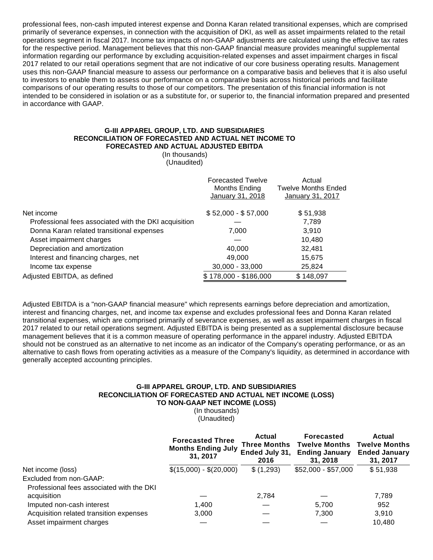professional fees, non-cash imputed interest expense and Donna Karan related transitional expenses, which are comprised primarily of severance expenses, in connection with the acquisition of DKI, as well as asset impairments related to the retail operations segment in fiscal 2017. Income tax impacts of non-GAAP adjustments are calculated using the effective tax rates for the respective period. Management believes that this non-GAAP financial measure provides meaningful supplemental information regarding our performance by excluding acquisition-related expenses and asset impairment charges in fiscal 2017 related to our retail operations segment that are not indicative of our core business operating results. Management uses this non-GAAP financial measure to assess our performance on a comparative basis and believes that it is also useful to investors to enable them to assess our performance on a comparative basis across historical periods and facilitate comparisons of our operating results to those of our competitors. The presentation of this financial information is not intended to be considered in isolation or as a substitute for, or superior to, the financial information prepared and presented in accordance with GAAP.

#### **G-III APPAREL GROUP, LTD. AND SUBSIDIARIES RECONCILIATION OF FORECASTED AND ACTUAL NET INCOME TO FORECASTED AND ACTUAL ADJUSTED EBITDA**

(In thousands) (Unaudited)

|                                                       | <b>Forecasted Twelve</b><br>Months Ending<br>January 31, 2018 | Actual<br><b>Twelve Months Ended</b><br>January 31, 2017 |
|-------------------------------------------------------|---------------------------------------------------------------|----------------------------------------------------------|
| Net income                                            | $$52,000 - $57,000$                                           | \$51,938                                                 |
| Professional fees associated with the DKI acquisition |                                                               | 7.789                                                    |
| Donna Karan related transitional expenses             | 7,000                                                         | 3,910                                                    |
| Asset impairment charges                              |                                                               | 10,480                                                   |
| Depreciation and amortization                         | 40,000                                                        | 32,481                                                   |
| Interest and financing charges, net                   | 49.000                                                        | 15,675                                                   |
| Income tax expense                                    | $30,000 - 33,000$                                             | 25,824                                                   |
| Adjusted EBITDA, as defined                           | \$178,000 - \$186,000                                         | \$148,097                                                |

Adjusted EBITDA is a "non-GAAP financial measure" which represents earnings before depreciation and amortization, interest and financing charges, net, and income tax expense and excludes professional fees and Donna Karan related transitional expenses, which are comprised primarily of severance expenses, as well as asset impairment charges in fiscal 2017 related to our retail operations segment. Adjusted EBITDA is being presented as a supplemental disclosure because management believes that it is a common measure of operating performance in the apparel industry. Adjusted EBITDA should not be construed as an alternative to net income as an indicator of the Company's operating performance, or as an alternative to cash flows from operating activities as a measure of the Company's liquidity, as determined in accordance with generally accepted accounting principles.

#### **G-III APPAREL GROUP, LTD. AND SUBSIDIARIES RECONCILIATION OF FORECASTED AND ACTUAL NET INCOME (LOSS) TO NON-GAAP NET INCOME (LOSS)**

(In thousands) (Unaudited)

|                                           | <b>Forecasted Three</b><br><b>Months Ending July</b><br>31, 2017 | Actual<br><b>Three Months</b><br>Ended July 31,<br>2016 | <b>Forecasted</b><br><b>Twelve Months</b><br><b>Ending January</b><br>31.2018 | Actual<br><b>Twelve Months</b><br><b>Ended January</b><br>31, 2017 |
|-------------------------------------------|------------------------------------------------------------------|---------------------------------------------------------|-------------------------------------------------------------------------------|--------------------------------------------------------------------|
| Net income (loss)                         | $$(15,000) - $(20,000)$                                          | \$ (1,293)                                              | $$52,000 - $57,000$                                                           | \$51,938                                                           |
| Excluded from non-GAAP:                   |                                                                  |                                                         |                                                                               |                                                                    |
| Professional fees associated with the DKI |                                                                  |                                                         |                                                                               |                                                                    |
| acquisition                               |                                                                  | 2.784                                                   |                                                                               | 7,789                                                              |
| Imputed non-cash interest                 | 1.400                                                            |                                                         | 5,700                                                                         | 952                                                                |
| Acquisition related transition expenses   | 3,000                                                            |                                                         | 7,300                                                                         | 3,910                                                              |
| Asset impairment charges                  |                                                                  |                                                         |                                                                               | 10.480                                                             |